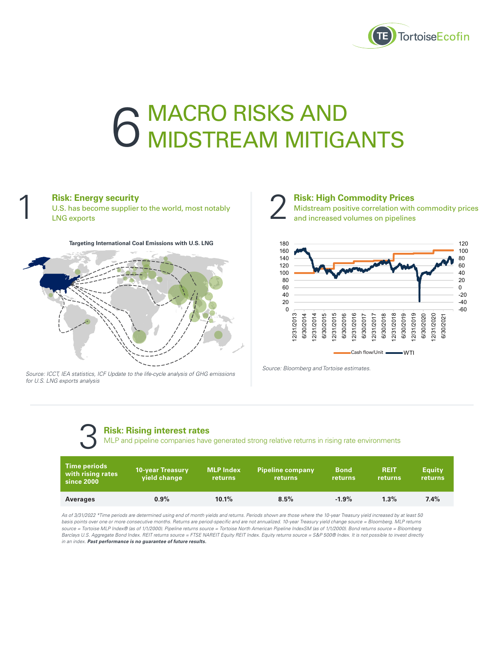

# **6 MACRO RISKS AND 6 MIDSTREAM MITIGANTS**

### **Risk: Energy security**

1

U.S. has become supplier to the world, most notably LNG exports





*Source: ICCT, IEA statistics, ICF Update to the life-cycle analysis of GHG emissions for U.S. LNG exports analysis*



**Risk: High Commodity Prices**  Midstream positive correlation with commodity prices and increased volumes on pipelines



*Source: Bloomberg and Tortoise estimates.*

### **Risk: Rising interest rates**

| <b>Risk: Rising interest rates</b><br>MLP and pipeline companies have generated strong relative returns in rising rate environments |                                  |                                    |                                    |                        |                        |                          |
|-------------------------------------------------------------------------------------------------------------------------------------|----------------------------------|------------------------------------|------------------------------------|------------------------|------------------------|--------------------------|
| <b>Time periods</b><br>with rising rates<br>since 2000                                                                              | 10-year Treasury<br>vield change | <b>MLP Index</b><br><b>returns</b> | <b>Pipeline company</b><br>returns | <b>Bond</b><br>returns | <b>REIT</b><br>returns | <b>Equity</b><br>returns |
| <b>Averages</b>                                                                                                                     | 0.9%                             | 10.1%                              | 8.5%                               | $-1.9%$                | 1.3%                   | 7.4%                     |

*As of 3/31/2022 \*Time periods are determined using end of month yields and returns. Periods shown are those where the 10-year Treasury yield increased by at least 50 basis points over one or more consecutive months. Returns are period-specific and are not annualized. 10-year Treasury yield change source = Bloomberg. MLP returns source = Tortoise MLP Index® (as of 1/1/2000). Pipeline returns source = Tortoise North American Pipeline IndexSM (as of 1/1/2000). Bond returns source = Bloomberg Barclays U.S. Aggregate Bond Index. REIT returns source = FTSE NAREIT Equity REIT Index. Equity returns source = S&P 500® Index. It is not possible to invest directly in an index. Past performance is no guarantee of future results.*